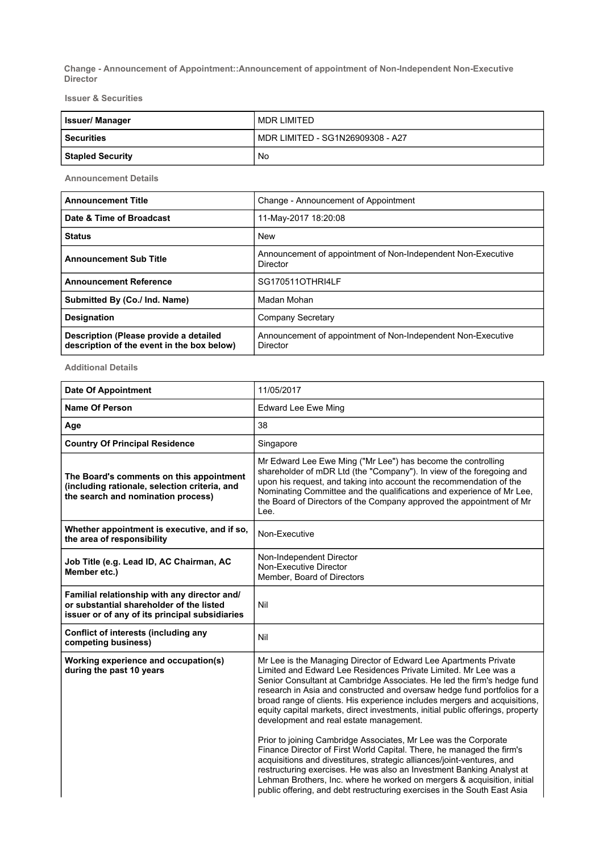Change - Announcement of Appointment::Announcement of appointment of Non-Independent Non-Executive Director

Issuer & Securities

| <b>Issuer/Manager</b>   | MDR LIMITED                      |
|-------------------------|----------------------------------|
| l Securities            | MDR LIMITED - SG1N26909308 - A27 |
| <b>Stapled Security</b> | No                               |

Announcement Details

| <b>Announcement Title</b>                                                            | Change - Announcement of Appointment                                     |
|--------------------------------------------------------------------------------------|--------------------------------------------------------------------------|
| Date & Time of Broadcast                                                             | 11-May-2017 18:20:08                                                     |
| <b>Status</b>                                                                        | <b>New</b>                                                               |
| <b>Announcement Sub Title</b>                                                        | Announcement of appointment of Non-Independent Non-Executive<br>Director |
| <b>Announcement Reference</b>                                                        | SG170511OTHRI4LF                                                         |
| Submitted By (Co./ Ind. Name)                                                        | Madan Mohan                                                              |
| <b>Designation</b>                                                                   | Company Secretary                                                        |
| Description (Please provide a detailed<br>description of the event in the box below) | Announcement of appointment of Non-Independent Non-Executive<br>Director |

Additional Details

| <b>Date Of Appointment</b>                                                                                                                 | 11/05/2017                                                                                                                                                                                                                                                                                                                                                                                                                                                                                           |
|--------------------------------------------------------------------------------------------------------------------------------------------|------------------------------------------------------------------------------------------------------------------------------------------------------------------------------------------------------------------------------------------------------------------------------------------------------------------------------------------------------------------------------------------------------------------------------------------------------------------------------------------------------|
| <b>Name Of Person</b>                                                                                                                      | <b>Edward Lee Ewe Ming</b>                                                                                                                                                                                                                                                                                                                                                                                                                                                                           |
| Age                                                                                                                                        | 38                                                                                                                                                                                                                                                                                                                                                                                                                                                                                                   |
| <b>Country Of Principal Residence</b>                                                                                                      | Singapore                                                                                                                                                                                                                                                                                                                                                                                                                                                                                            |
| The Board's comments on this appointment<br>(including rationale, selection criteria, and<br>the search and nomination process)            | Mr Edward Lee Ewe Ming ("Mr Lee") has become the controlling<br>shareholder of mDR Ltd (the "Company"). In view of the foregoing and<br>upon his request, and taking into account the recommendation of the<br>Nominating Committee and the qualifications and experience of Mr Lee,<br>the Board of Directors of the Company approved the appointment of Mr<br>Lee.                                                                                                                                 |
| Whether appointment is executive, and if so,<br>the area of responsibility                                                                 | Non-Executive                                                                                                                                                                                                                                                                                                                                                                                                                                                                                        |
| Job Title (e.g. Lead ID, AC Chairman, AC<br>Member etc.)                                                                                   | Non-Independent Director<br>Non-Executive Director<br>Member, Board of Directors                                                                                                                                                                                                                                                                                                                                                                                                                     |
| Familial relationship with any director and/<br>or substantial shareholder of the listed<br>issuer or of any of its principal subsidiaries | Nil                                                                                                                                                                                                                                                                                                                                                                                                                                                                                                  |
| Conflict of interests (including any<br>competing business)                                                                                | Nil                                                                                                                                                                                                                                                                                                                                                                                                                                                                                                  |
| Working experience and occupation(s)<br>during the past 10 years                                                                           | Mr Lee is the Managing Director of Edward Lee Apartments Private<br>Limited and Edward Lee Residences Private Limited. Mr Lee was a<br>Senior Consultant at Cambridge Associates. He led the firm's hedge fund<br>research in Asia and constructed and oversaw hedge fund portfolios for a<br>broad range of clients. His experience includes mergers and acquisitions,<br>equity capital markets, direct investments, initial public offerings, property<br>development and real estate management. |
|                                                                                                                                            | Prior to joining Cambridge Associates, Mr Lee was the Corporate<br>Finance Director of First World Capital. There, he managed the firm's<br>acquisitions and divestitures, strategic alliances/joint-ventures, and<br>restructuring exercises. He was also an Investment Banking Analyst at<br>Lehman Brothers, Inc. where he worked on mergers & acquisition, initial<br>public offering, and debt restructuring exercises in the South East Asia                                                   |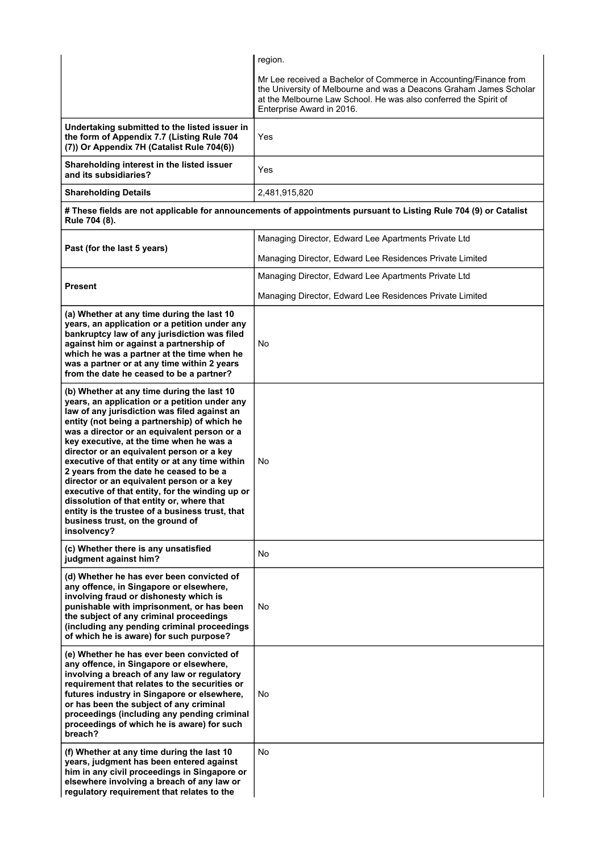|                                                                                                                                                                                                                                                                                                                                                                                                                                                                                                                                                                                                                                                                                     | region.                                                                                                                                                                                                                                  |  |
|-------------------------------------------------------------------------------------------------------------------------------------------------------------------------------------------------------------------------------------------------------------------------------------------------------------------------------------------------------------------------------------------------------------------------------------------------------------------------------------------------------------------------------------------------------------------------------------------------------------------------------------------------------------------------------------|------------------------------------------------------------------------------------------------------------------------------------------------------------------------------------------------------------------------------------------|--|
|                                                                                                                                                                                                                                                                                                                                                                                                                                                                                                                                                                                                                                                                                     | Mr Lee received a Bachelor of Commerce in Accounting/Finance from<br>the University of Melbourne and was a Deacons Graham James Scholar<br>at the Melbourne Law School. He was also conferred the Spirit of<br>Enterprise Award in 2016. |  |
| Undertaking submitted to the listed issuer in<br>the form of Appendix 7.7 (Listing Rule 704<br>(7)) Or Appendix 7H (Catalist Rule 704(6))                                                                                                                                                                                                                                                                                                                                                                                                                                                                                                                                           | Yes                                                                                                                                                                                                                                      |  |
| Shareholding interest in the listed issuer<br>and its subsidiaries?                                                                                                                                                                                                                                                                                                                                                                                                                                                                                                                                                                                                                 | Yes                                                                                                                                                                                                                                      |  |
| <b>Shareholding Details</b>                                                                                                                                                                                                                                                                                                                                                                                                                                                                                                                                                                                                                                                         | 2,481,915,820                                                                                                                                                                                                                            |  |
| # These fields are not applicable for announcements of appointments pursuant to Listing Rule 704 (9) or Catalist<br>Rule 704 (8).                                                                                                                                                                                                                                                                                                                                                                                                                                                                                                                                                   |                                                                                                                                                                                                                                          |  |
|                                                                                                                                                                                                                                                                                                                                                                                                                                                                                                                                                                                                                                                                                     | Managing Director, Edward Lee Apartments Private Ltd                                                                                                                                                                                     |  |
| Past (for the last 5 years)                                                                                                                                                                                                                                                                                                                                                                                                                                                                                                                                                                                                                                                         | Managing Director, Edward Lee Residences Private Limited                                                                                                                                                                                 |  |
|                                                                                                                                                                                                                                                                                                                                                                                                                                                                                                                                                                                                                                                                                     | Managing Director, Edward Lee Apartments Private Ltd                                                                                                                                                                                     |  |
| <b>Present</b>                                                                                                                                                                                                                                                                                                                                                                                                                                                                                                                                                                                                                                                                      | Managing Director, Edward Lee Residences Private Limited                                                                                                                                                                                 |  |
| (a) Whether at any time during the last 10<br>years, an application or a petition under any<br>bankruptcy law of any jurisdiction was filed<br>against him or against a partnership of<br>which he was a partner at the time when he<br>was a partner or at any time within 2 years<br>from the date he ceased to be a partner?                                                                                                                                                                                                                                                                                                                                                     | No                                                                                                                                                                                                                                       |  |
| (b) Whether at any time during the last 10<br>years, an application or a petition under any<br>law of any jurisdiction was filed against an<br>entity (not being a partnership) of which he<br>was a director or an equivalent person or a<br>key executive, at the time when he was a<br>director or an equivalent person or a key<br>executive of that entity or at any time within<br>2 years from the date he ceased to be a<br>director or an equivalent person or a key<br>executive of that entity, for the winding up or<br>dissolution of that entity or, where that<br>entity is the trustee of a business trust, that<br>business trust, on the ground of<br>insolvency? | No                                                                                                                                                                                                                                       |  |
| (c) Whether there is any unsatisfied<br>judgment against him?                                                                                                                                                                                                                                                                                                                                                                                                                                                                                                                                                                                                                       | No                                                                                                                                                                                                                                       |  |
| (d) Whether he has ever been convicted of<br>any offence, in Singapore or elsewhere,<br>involving fraud or dishonesty which is<br>punishable with imprisonment, or has been<br>the subject of any criminal proceedings<br>(including any pending criminal proceedings<br>of which he is aware) for such purpose?                                                                                                                                                                                                                                                                                                                                                                    | No                                                                                                                                                                                                                                       |  |
| (e) Whether he has ever been convicted of<br>any offence, in Singapore or elsewhere,<br>involving a breach of any law or regulatory<br>requirement that relates to the securities or<br>futures industry in Singapore or elsewhere,<br>or has been the subject of any criminal<br>proceedings (including any pending criminal<br>proceedings of which he is aware) for such<br>breach?                                                                                                                                                                                                                                                                                              | No                                                                                                                                                                                                                                       |  |
| (f) Whether at any time during the last 10<br>years, judgment has been entered against<br>him in any civil proceedings in Singapore or<br>elsewhere involving a breach of any law or<br>regulatory requirement that relates to the                                                                                                                                                                                                                                                                                                                                                                                                                                                  | <b>No</b>                                                                                                                                                                                                                                |  |